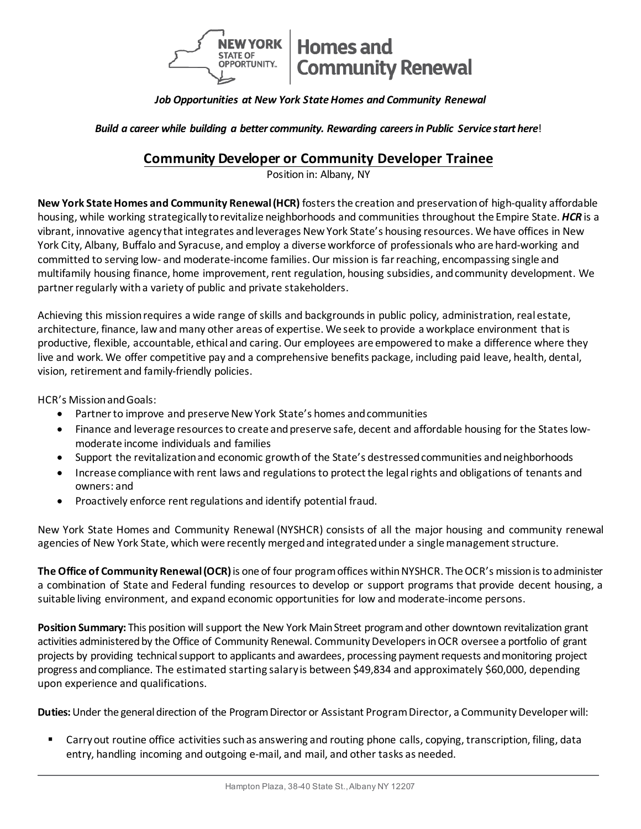

# *Job Opportunities at New York StateHomes and Community Renewal*

*Build a career while building a better community. Rewarding careersin Public Service start here*!

# **Community Developer or Community Developer Trainee**

Position in: Albany, NY

**New York State Homes and Community Renewal (HCR)** fosters the creation and preservation of high-quality affordable housing, while working strategically torevitalize neighborhoods and communities throughout the Empire State. *HCR* is a vibrant, innovative agency that integrates and leverages New York State's housing resources. We have offices in New York City, Albany, Buffalo and Syracuse, and employ a diverse workforce of professionals who are hard-working and committed to serving low- and moderate-income families. Our mission is far reaching, encompassing single and multifamily housing finance, home improvement, rent regulation, housing subsidies, and community development. We partner regularly with a variety of public and private stakeholders.

Achieving this mission requires a wide range of skills and backgrounds in public policy, administration, real estate, architecture, finance, law and many other areas of expertise. We seek to provide a workplace environment that is productive, flexible, accountable, ethical and caring. Our employees are empowered to make a difference where they live and work. We offer competitive pay and a comprehensive benefits package, including paid leave, health, dental, vision, retirement and family-friendly policies.

HCR's Mission and Goals:

- Partner to improve and preserve New York State's homes and communities
- Finance and leverage resources to create and preserve safe, decent and affordable housing for the States lowmoderate income individuals and families
- Support the revitalization and economic growth of the State's destressed communities and neighborhoods
- Increase compliance with rent laws and regulations to protect the legal rights and obligations of tenants and owners: and
- Proactively enforce rent regulations and identify potential fraud.

New York State Homes and Community Renewal (NYSHCR) consists of all the major housing and community renewal agencies of New York State, which were recently merged and integrated under a single management structure.

**The Office of Community Renewal (OCR)**is one of four program offices within NYSHCR. The OCR's mission is to administer a combination of State and Federal funding resources to develop or support programs that provide decent housing, a suitable living environment, and expand economic opportunities for low and moderate-income persons.

**Position Summary:** This position will support the New York Main Street programand other downtown revitalization grant activities administered by the Office of Community Renewal. Community Developersin OCR oversee a portfolio of grant projects by providing technicalsupport to applicants and awardees, processing payment requests and monitoring project progress and compliance. The estimated starting salary is between \$49,834 and approximately \$60,000, depending upon experience and qualifications.

**Duties:**Under the general direction of the Program Director or Assistant Program Director, a Community Developer will:

 Carry out routine office activities such as answering and routing phone calls, copying, transcription, filing, data entry, handling incoming and outgoing e-mail, and mail, and other tasks as needed.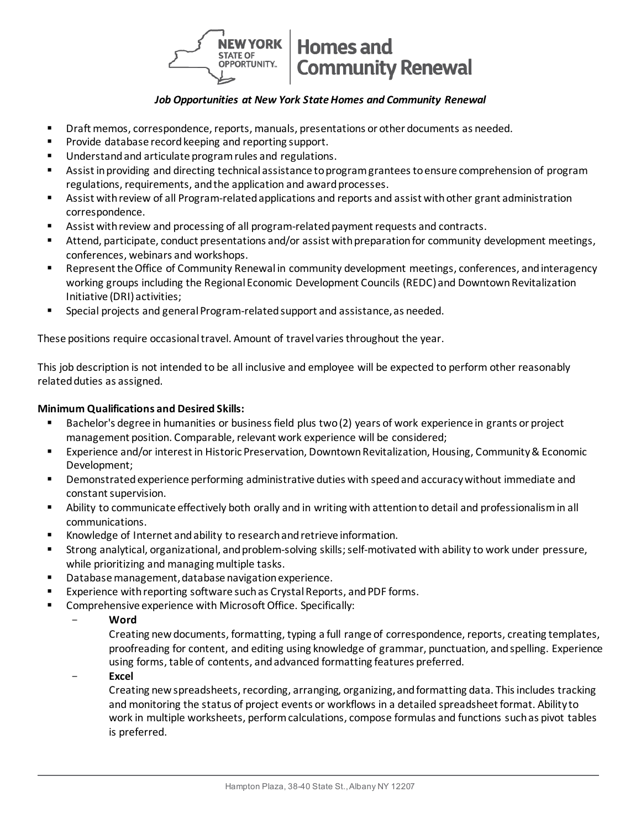

## *Job Opportunities at New York State Homes and Community Renewal*

- **Phart memos, correspondence, reports, manuals, presentations or other documents as needed.**
- **Provide database record keeping and reporting support.**
- **Understand and articulate program rules and regulations.**
- Assist in providing and directing technical assistance to program grantees to ensure comprehension of program regulations, requirements, and the application and award processes.
- Assist with review of all Program-related applications and reports and assist with other grant administration correspondence.
- Assist with review and processing of all program-related payment requests and contracts.
- Attend, participate, conduct presentations and/or assist with preparation for community development meetings, conferences, webinars and workshops.
- **EXE** Represent the Office of Community Renewal in community development meetings, conferences, and interagency working groups including the Regional Economic Development Councils (REDC) and Downtown Revitalization Initiative (DRI) activities;
- **Special projects and general Program-related support and assistance, as needed.**

These positions require occasional travel. Amount of travel varies throughout the year.

This job description is not intended to be all inclusive and employee will be expected to perform other reasonably related duties as assigned.

## **Minimum Qualifications and Desired Skills:**

- Bachelor's degree in humanities or business field plus two (2) years of work experience in grants or project management position. Comparable, relevant work experience will be considered;
- Experience and/or interest in Historic Preservation, Downtown Revitalization, Housing, Community & Economic Development;
- Demonstrated experience performing administrative duties with speed and accuracy without immediate and constant supervision.
- Ability to communicate effectively both orally and in writing with attention to detail and professionalism in all communications.
- Knowledge of Internet and ability to research and retrieve information.
- Strong analytical, organizational, and problem-solving skills; self-motivated with ability to work under pressure, while prioritizing and managing multiple tasks.
- Database management, database navigation experience.
- **Experience with reporting software such as Crystal Reports, and PDF forms.**
- **EXECOMPTER EXPERIES COMPTER COMPTER LIGATE COMPTERIST COMPTER** 
	- **Word**

Creating new documents, formatting, typing a full range of correspondence, reports, creating templates, proofreading for content, and editing using knowledge of grammar, punctuation, and spelling. Experience using forms, table of contents, and advanced formatting features preferred.

- **Excel**

Creating new spreadsheets, recording, arranging, organizing, and formatting data. This includes tracking and monitoring the status of project events or workflows in a detailed spreadsheet format. Ability to work in multiple worksheets, perform calculations, compose formulas and functions such as pivot tables is preferred.